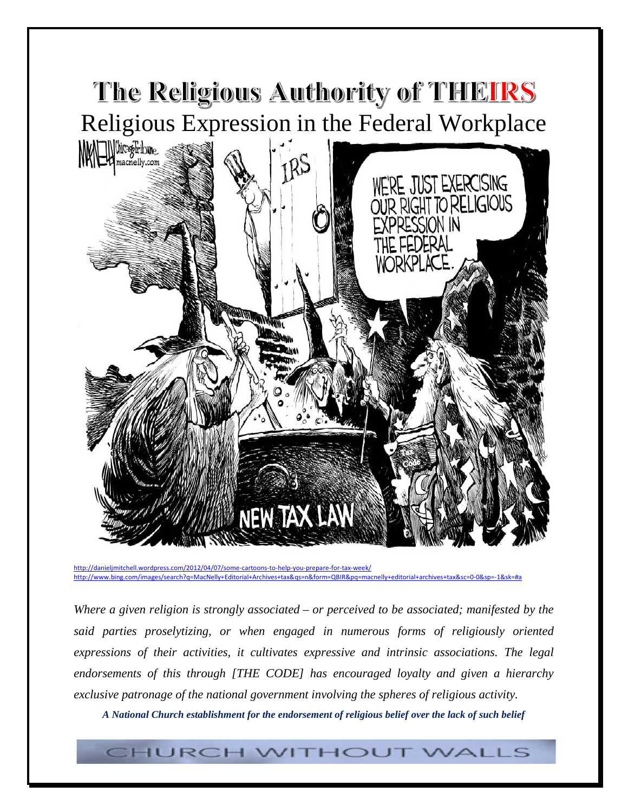

<http://danieljmitchell.wordpress.com/2012/04/07/some-cartoons-to-help-you-prepare-for-tax-week/> <http://www.bing.com/images/search?q=MacNelly+Editorial+Archives+tax&qs=n&form=QBIR&pq=macnelly+editorial+archives+tax&sc=0-0&sp=-1&sk=#a>

*Where a given religion is strongly associated – or perceived to be associated; manifested by the said parties proselytizing, or when engaged in numerous forms of religiously oriented expressions of their activities, it cultivates expressive and intrinsic associations. The legal endorsements of this through [THE CODE] has encouraged loyalty and given a hierarchy exclusive patronage of the national government involving the spheres of religious activity.*

*A National Church establishment for the endorsement of religious belief over the lack of such belief*

# CHURCH WITHOUT WALLS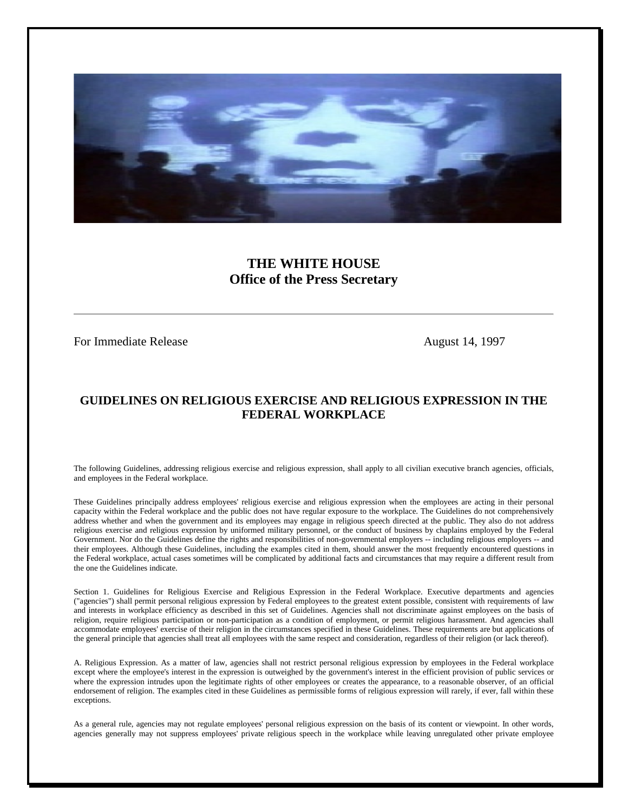

# **THE WHITE HOUSE Office of the Press Secretary**

For Immediate Release August 14, 1997

## **GUIDELINES ON RELIGIOUS EXERCISE AND RELIGIOUS EXPRESSION IN THE FEDERAL WORKPLACE**

The following Guidelines, addressing religious exercise and religious expression, shall apply to all civilian executive branch agencies, officials, and employees in the Federal workplace.

These Guidelines principally address employees' religious exercise and religious expression when the employees are acting in their personal capacity within the Federal workplace and the public does not have regular exposure to the workplace. The Guidelines do not comprehensively address whether and when the government and its employees may engage in religious speech directed at the public. They also do not address religious exercise and religious expression by uniformed military personnel, or the conduct of business by chaplains employed by the Federal Government. Nor do the Guidelines define the rights and responsibilities of non-governmental employers -- including religious employers -- and their employees. Although these Guidelines, including the examples cited in them, should answer the most frequently encountered questions in the Federal workplace, actual cases sometimes will be complicated by additional facts and circumstances that may require a different result from the one the Guidelines indicate.

Section 1. Guidelines for Religious Exercise and Religious Expression in the Federal Workplace. Executive departments and agencies ("agencies") shall permit personal religious expression by Federal employees to the greatest extent possible, consistent with requirements of law and interests in workplace efficiency as described in this set of Guidelines. Agencies shall not discriminate against employees on the basis of religion, require religious participation or non-participation as a condition of employment, or permit religious harassment. And agencies shall accommodate employees' exercise of their religion in the circumstances specified in these Guidelines. These requirements are but applications of the general principle that agencies shall treat all employees with the same respect and consideration, regardless of their religion (or lack thereof).

A. Religious Expression. As a matter of law, agencies shall not restrict personal religious expression by employees in the Federal workplace except where the employee's interest in the expression is outweighed by the government's interest in the efficient provision of public services or where the expression intrudes upon the legitimate rights of other employees or creates the appearance, to a reasonable observer, of an official endorsement of religion. The examples cited in these Guidelines as permissible forms of religious expression will rarely, if ever, fall within these exceptions.

As a general rule, agencies may not regulate employees' personal religious expression on the basis of its content or viewpoint. In other words, agencies generally may not suppress employees' private religious speech in the workplace while leaving unregulated other private employee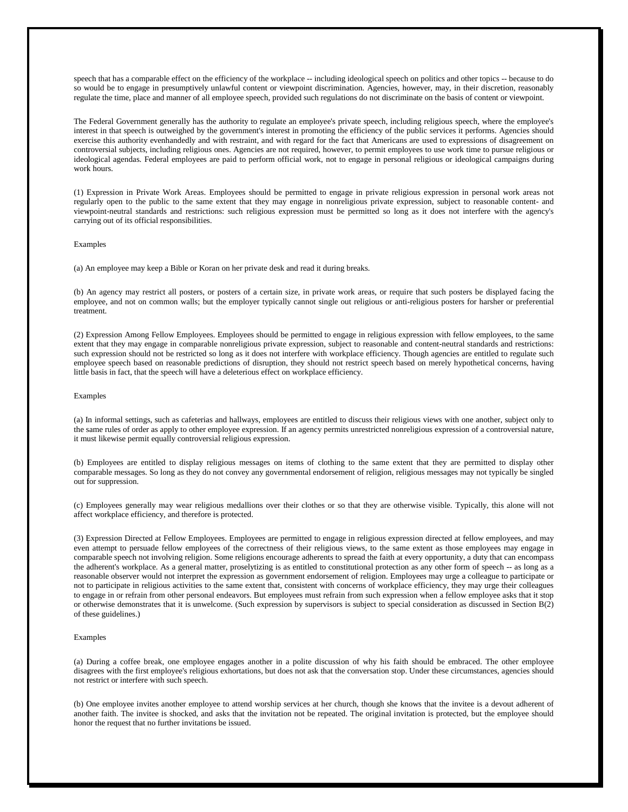speech that has a comparable effect on the efficiency of the workplace -- including ideological speech on politics and other topics -- because to do so would be to engage in presumptively unlawful content or viewpoint discrimination. Agencies, however, may, in their discretion, reasonably regulate the time, place and manner of all employee speech, provided such regulations do not discriminate on the basis of content or viewpoint.

The Federal Government generally has the authority to regulate an employee's private speech, including religious speech, where the employee's interest in that speech is outweighed by the government's interest in promoting the efficiency of the public services it performs. Agencies should exercise this authority evenhandedly and with restraint, and with regard for the fact that Americans are used to expressions of disagreement on controversial subjects, including religious ones. Agencies are not required, however, to permit employees to use work time to pursue religious or ideological agendas. Federal employees are paid to perform official work, not to engage in personal religious or ideological campaigns during work hours.

(1) Expression in Private Work Areas. Employees should be permitted to engage in private religious expression in personal work areas not regularly open to the public to the same extent that they may engage in nonreligious private expression, subject to reasonable content- and viewpoint-neutral standards and restrictions: such religious expression must be permitted so long as it does not interfere with the agency's carrying out of its official responsibilities.

### Examples

(a) An employee may keep a Bible or Koran on her private desk and read it during breaks.

(b) An agency may restrict all posters, or posters of a certain size, in private work areas, or require that such posters be displayed facing the employee, and not on common walls; but the employer typically cannot single out religious or anti-religious posters for harsher or preferential treatment.

(2) Expression Among Fellow Employees. Employees should be permitted to engage in religious expression with fellow employees, to the same extent that they may engage in comparable nonreligious private expression, subject to reasonable and content-neutral standards and restrictions: such expression should not be restricted so long as it does not interfere with workplace efficiency. Though agencies are entitled to regulate such employee speech based on reasonable predictions of disruption, they should not restrict speech based on merely hypothetical concerns, having little basis in fact, that the speech will have a deleterious effect on workplace efficiency.

#### Examples

(a) In informal settings, such as cafeterias and hallways, employees are entitled to discuss their religious views with one another, subject only to the same rules of order as apply to other employee expression. If an agency permits unrestricted nonreligious expression of a controversial nature, it must likewise permit equally controversial religious expression.

(b) Employees are entitled to display religious messages on items of clothing to the same extent that they are permitted to display other comparable messages. So long as they do not convey any governmental endorsement of religion, religious messages may not typically be singled out for suppression.

(c) Employees generally may wear religious medallions over their clothes or so that they are otherwise visible. Typically, this alone will not affect workplace efficiency, and therefore is protected.

(3) Expression Directed at Fellow Employees. Employees are permitted to engage in religious expression directed at fellow employees, and may even attempt to persuade fellow employees of the correctness of their religious views, to the same extent as those employees may engage in comparable speech not involving religion. Some religions encourage adherents to spread the faith at every opportunity, a duty that can encompass the adherent's workplace. As a general matter, proselytizing is as entitled to constitutional protection as any other form of speech -- as long as a reasonable observer would not interpret the expression as government endorsement of religion. Employees may urge a colleague to participate or not to participate in religious activities to the same extent that, consistent with concerns of workplace efficiency, they may urge their colleagues to engage in or refrain from other personal endeavors. But employees must refrain from such expression when a fellow employee asks that it stop or otherwise demonstrates that it is unwelcome. (Such expression by supervisors is subject to special consideration as discussed in Section B(2) of these guidelines.)

#### Examples

(a) During a coffee break, one employee engages another in a polite discussion of why his faith should be embraced. The other employee disagrees with the first employee's religious exhortations, but does not ask that the conversation stop. Under these circumstances, agencies should not restrict or interfere with such speech.

(b) One employee invites another employee to attend worship services at her church, though she knows that the invitee is a devout adherent of another faith. The invitee is shocked, and asks that the invitation not be repeated. The original invitation is protected, but the employee should honor the request that no further invitations be issued.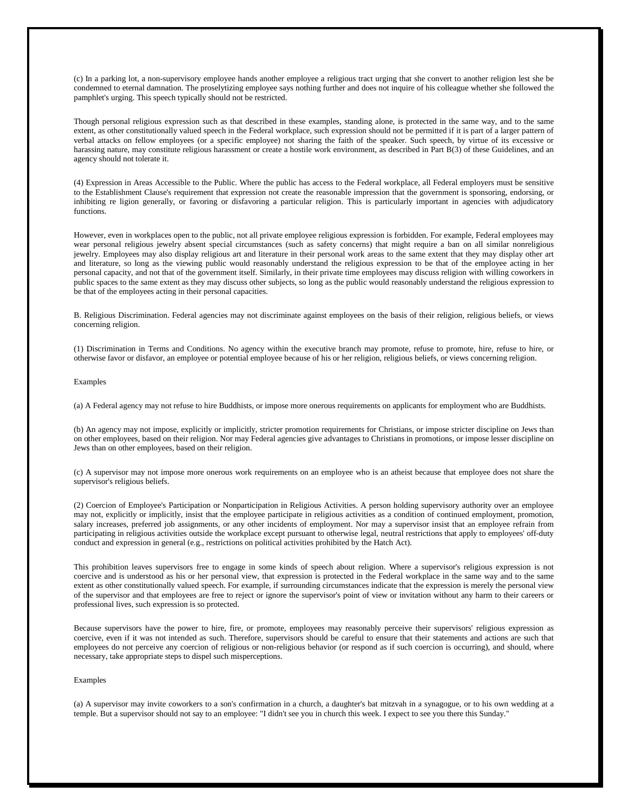(c) In a parking lot, a non-supervisory employee hands another employee a religious tract urging that she convert to another religion lest she be condemned to eternal damnation. The proselytizing employee says nothing further and does not inquire of his colleague whether she followed the pamphlet's urging. This speech typically should not be restricted.

Though personal religious expression such as that described in these examples, standing alone, is protected in the same way, and to the same extent, as other constitutionally valued speech in the Federal workplace, such expression should not be permitted if it is part of a larger pattern of verbal attacks on fellow employees (or a specific employee) not sharing the faith of the speaker. Such speech, by virtue of its excessive or harassing nature, may constitute religious harassment or create a hostile work environment, as described in Part B(3) of these Guidelines, and an agency should not tolerate it.

(4) Expression in Areas Accessible to the Public. Where the public has access to the Federal workplace, all Federal employers must be sensitive to the Establishment Clause's requirement that expression not create the reasonable impression that the government is sponsoring, endorsing, or inhibiting re ligion generally, or favoring or disfavoring a particular religion. This is particularly important in agencies with adjudicatory functions.

However, even in workplaces open to the public, not all private employee religious expression is forbidden. For example, Federal employees may wear personal religious jewelry absent special circumstances (such as safety concerns) that might require a ban on all similar nonreligious jewelry. Employees may also display religious art and literature in their personal work areas to the same extent that they may display other art and literature, so long as the viewing public would reasonably understand the religious expression to be that of the employee acting in her personal capacity, and not that of the government itself. Similarly, in their private time employees may discuss religion with willing coworkers in public spaces to the same extent as they may discuss other subjects, so long as the public would reasonably understand the religious expression to be that of the employees acting in their personal capacities.

B. Religious Discrimination. Federal agencies may not discriminate against employees on the basis of their religion, religious beliefs, or views concerning religion.

(1) Discrimination in Terms and Conditions. No agency within the executive branch may promote, refuse to promote, hire, refuse to hire, or otherwise favor or disfavor, an employee or potential employee because of his or her religion, religious beliefs, or views concerning religion.

### Examples

(a) A Federal agency may not refuse to hire Buddhists, or impose more onerous requirements on applicants for employment who are Buddhists.

(b) An agency may not impose, explicitly or implicitly, stricter promotion requirements for Christians, or impose stricter discipline on Jews than on other employees, based on their religion. Nor may Federal agencies give advantages to Christians in promotions, or impose lesser discipline on Jews than on other employees, based on their religion.

(c) A supervisor may not impose more onerous work requirements on an employee who is an atheist because that employee does not share the supervisor's religious beliefs.

(2) Coercion of Employee's Participation or Nonparticipation in Religious Activities. A person holding supervisory authority over an employee may not, explicitly or implicitly, insist that the employee participate in religious activities as a condition of continued employment, promotion, salary increases, preferred job assignments, or any other incidents of employment. Nor may a supervisor insist that an employee refrain from participating in religious activities outside the workplace except pursuant to otherwise legal, neutral restrictions that apply to employees' off-duty conduct and expression in general (e.g., restrictions on political activities prohibited by the Hatch Act).

This prohibition leaves supervisors free to engage in some kinds of speech about religion. Where a supervisor's religious expression is not coercive and is understood as his or her personal view, that expression is protected in the Federal workplace in the same way and to the same extent as other constitutionally valued speech. For example, if surrounding circumstances indicate that the expression is merely the personal view of the supervisor and that employees are free to reject or ignore the supervisor's point of view or invitation without any harm to their careers or professional lives, such expression is so protected.

Because supervisors have the power to hire, fire, or promote, employees may reasonably perceive their supervisors' religious expression as coercive, even if it was not intended as such. Therefore, supervisors should be careful to ensure that their statements and actions are such that employees do not perceive any coercion of religious or non-religious behavior (or respond as if such coercion is occurring), and should, where necessary, take appropriate steps to dispel such misperceptions.

#### Examples

(a) A supervisor may invite coworkers to a son's confirmation in a church, a daughter's bat mitzvah in a synagogue, or to his own wedding at a temple. But a supervisor should not say to an employee: "I didn't see you in church this week. I expect to see you there this Sunday."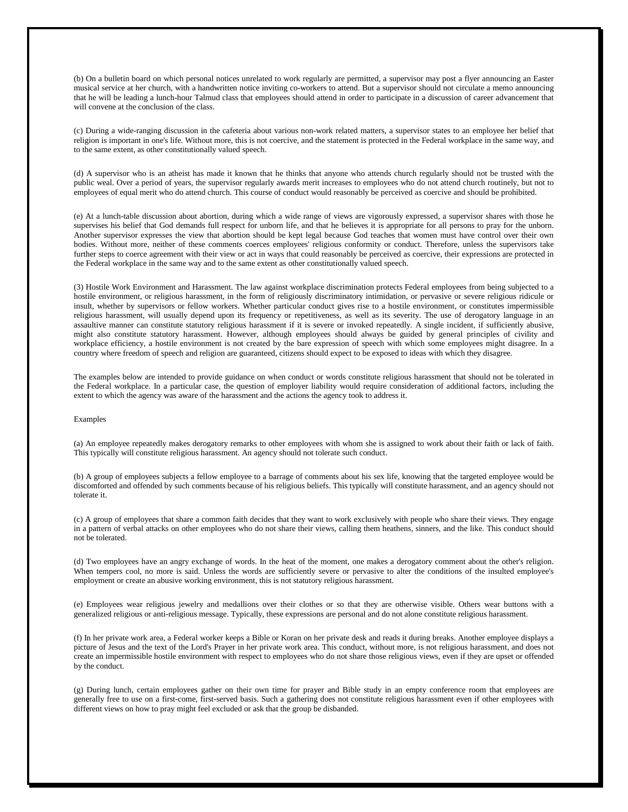(b) On a bulletin board on which personal notices unrelated to work regularly are permitted, a supervisor may post a flyer announcing an Easter musical service at her church, with a handwritten notice inviting co-workers to attend. But a supervisor should not circulate a memo announcing that he will be leading a lunch-hour Talmud class that employees should attend in order to participate in a discussion of career advancement that will convene at the conclusion of the class.

(c) During a wide-ranging discussion in the cafeteria about various non-work related matters, a supervisor states to an employee her belief that religion is important in one's life. Without more, this is not coercive, and the statement is protected in the Federal workplace in the same way, and to the same extent, as other constitutionally valued speech.

(d) A supervisor who is an atheist has made it known that he thinks that anyone who attends church regularly should not be trusted with the public weal. Over a period of years, the supervisor regularly awards merit increases to employees who do not attend church routinely, but not to employees of equal merit who do attend church. This course of conduct would reasonably be perceived as coercive and should be prohibited.

(e) At a lunch-table discussion about abortion, during which a wide range of views are vigorously expressed, a supervisor shares with those he supervises his belief that God demands full respect for unborn life, and that he believes it is appropriate for all persons to pray for the unborn. Another supervisor expresses the view that abortion should be kept legal because God teaches that women must have control over their own bodies. Without more, neither of these comments coerces employees' religious conformity or conduct. Therefore, unless the supervisors take further steps to coerce agreement with their view or act in ways that could reasonably be perceived as coercive, their expressions are protected in the Federal workplace in the same way and to the same extent as other constitutionally valued speech.

(3) Hostile Work Environment and Harassment. The law against workplace discrimination protects Federal employees from being subjected to a hostile environment, or religious harassment, in the form of religiously discriminatory intimidation, or pervasive or severe religious ridicule or insult, whether by supervisors or fellow workers. Whether particular conduct gives rise to a hostile environment, or constitutes impermissible religious harassment, will usually depend upon its frequency or repetitiveness, as well as its severity. The use of derogatory language in an assaultive manner can constitute statutory religious harassment if it is severe or invoked repeatedly. A single incident, if sufficiently abusive, might also constitute statutory harassment. However, although employees should always be guided by general principles of civility and workplace efficiency, a hostile environment is not created by the bare expression of speech with which some employees might disagree. In a country where freedom of speech and religion are guaranteed, citizens should expect to be exposed to ideas with which they disagree.

The examples below are intended to provide guidance on when conduct or words constitute religious harassment that should not be tolerated in the Federal workplace. In a particular case, the question of employer liability would require consideration of additional factors, including the extent to which the agency was aware of the harassment and the actions the agency took to address it.

#### Examples

(a) An employee repeatedly makes derogatory remarks to other employees with whom she is assigned to work about their faith or lack of faith. This typically will constitute religious harassment. An agency should not tolerate such conduct.

(b) A group of employees subjects a fellow employee to a barrage of comments about his sex life, knowing that the targeted employee would be discomforted and offended by such comments because of his religious beliefs. This typically will constitute harassment, and an agency should not tolerate it.

(c) A group of employees that share a common faith decides that they want to work exclusively with people who share their views. They engage in a pattern of verbal attacks on other employees who do not share their views, calling them heathens, sinners, and the like. This conduct should not be tolerated.

(d) Two employees have an angry exchange of words. In the heat of the moment, one makes a derogatory comment about the other's religion. When tempers cool, no more is said. Unless the words are sufficiently severe or pervasive to alter the conditions of the insulted employee's employment or create an abusive working environment, this is not statutory religious harassment.

(e) Employees wear religious jewelry and medallions over their clothes or so that they are otherwise visible. Others wear buttons with a generalized religious or anti-religious message. Typically, these expressions are personal and do not alone constitute religious harassment.

(f) In her private work area, a Federal worker keeps a Bible or Koran on her private desk and reads it during breaks. Another employee displays a picture of Jesus and the text of the Lord's Prayer in her private work area. This conduct, without more, is not religious harassment, and does not create an impermissible hostile environment with respect to employees who do not share those religious views, even if they are upset or offended by the conduct.

(g) During lunch, certain employees gather on their own time for prayer and Bible study in an empty conference room that employees are generally free to use on a first-come, first-served basis. Such a gathering does not constitute religious harassment even if other employees with different views on how to pray might feel excluded or ask that the group be disbanded.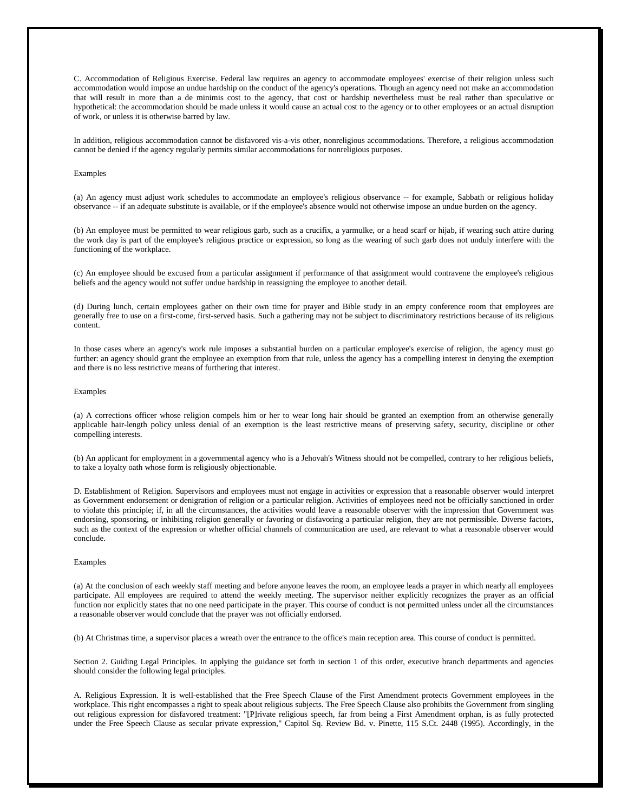C. Accommodation of Religious Exercise. Federal law requires an agency to accommodate employees' exercise of their religion unless such accommodation would impose an undue hardship on the conduct of the agency's operations. Though an agency need not make an accommodation that will result in more than a de minimis cost to the agency, that cost or hardship nevertheless must be real rather than speculative or hypothetical: the accommodation should be made unless it would cause an actual cost to the agency or to other employees or an actual disruption of work, or unless it is otherwise barred by law.

In addition, religious accommodation cannot be disfavored vis-a-vis other, nonreligious accommodations. Therefore, a religious accommodation cannot be denied if the agency regularly permits similar accommodations for nonreligious purposes.

## Examples

(a) An agency must adjust work schedules to accommodate an employee's religious observance -- for example, Sabbath or religious holiday observance -- if an adequate substitute is available, or if the employee's absence would not otherwise impose an undue burden on the agency.

(b) An employee must be permitted to wear religious garb, such as a crucifix, a yarmulke, or a head scarf or hijab, if wearing such attire during the work day is part of the employee's religious practice or expression, so long as the wearing of such garb does not unduly interfere with the functioning of the workplace.

(c) An employee should be excused from a particular assignment if performance of that assignment would contravene the employee's religious beliefs and the agency would not suffer undue hardship in reassigning the employee to another detail.

(d) During lunch, certain employees gather on their own time for prayer and Bible study in an empty conference room that employees are generally free to use on a first-come, first-served basis. Such a gathering may not be subject to discriminatory restrictions because of its religious content.

In those cases where an agency's work rule imposes a substantial burden on a particular employee's exercise of religion, the agency must go further: an agency should grant the employee an exemption from that rule, unless the agency has a compelling interest in denying the exemption and there is no less restrictive means of furthering that interest.

#### Examples

(a) A corrections officer whose religion compels him or her to wear long hair should be granted an exemption from an otherwise generally applicable hair-length policy unless denial of an exemption is the least restrictive means of preserving safety, security, discipline or other compelling interests.

(b) An applicant for employment in a governmental agency who is a Jehovah's Witness should not be compelled, contrary to her religious beliefs, to take a loyalty oath whose form is religiously objectionable.

D. Establishment of Religion. Supervisors and employees must not engage in activities or expression that a reasonable observer would interpret as Government endorsement or denigration of religion or a particular religion. Activities of employees need not be officially sanctioned in order to violate this principle; if, in all the circumstances, the activities would leave a reasonable observer with the impression that Government was endorsing, sponsoring, or inhibiting religion generally or favoring or disfavoring a particular religion, they are not permissible. Diverse factors, such as the context of the expression or whether official channels of communication are used, are relevant to what a reasonable observer would conclude.

## Examples

(a) At the conclusion of each weekly staff meeting and before anyone leaves the room, an employee leads a prayer in which nearly all employees participate. All employees are required to attend the weekly meeting. The supervisor neither explicitly recognizes the prayer as an official function nor explicitly states that no one need participate in the prayer. This course of conduct is not permitted unless under all the circumstances a reasonable observer would conclude that the prayer was not officially endorsed.

(b) At Christmas time, a supervisor places a wreath over the entrance to the office's main reception area. This course of conduct is permitted.

Section 2. Guiding Legal Principles. In applying the guidance set forth in section 1 of this order, executive branch departments and agencies should consider the following legal principles.

A. Religious Expression. It is well-established that the Free Speech Clause of the First Amendment protects Government employees in the workplace. This right encompasses a right to speak about religious subjects. The Free Speech Clause also prohibits the Government from singling out religious expression for disfavored treatment: "[P]rivate religious speech, far from being a First Amendment orphan, is as fully protected under the Free Speech Clause as secular private expression," Capitol Sq. Review Bd. v. Pinette, 115 S.Ct. 2448 (1995). Accordingly, in the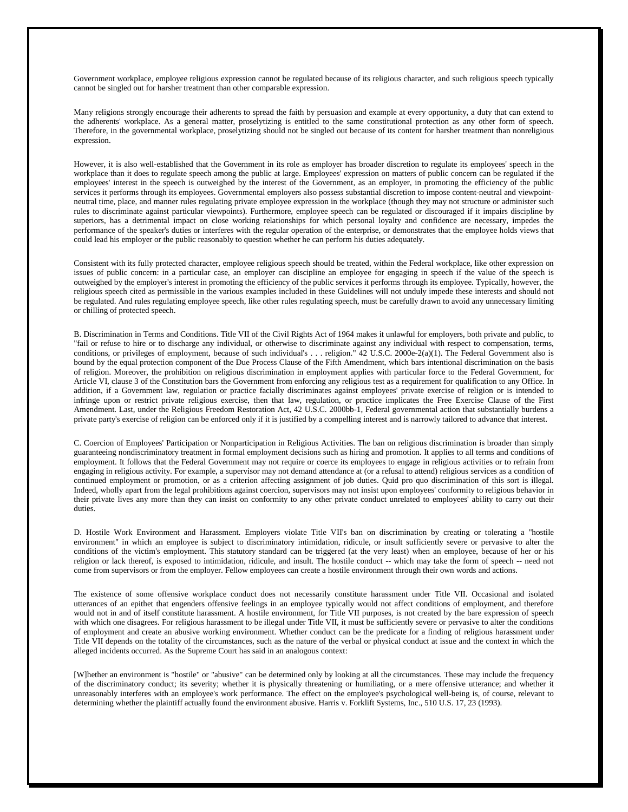Government workplace, employee religious expression cannot be regulated because of its religious character, and such religious speech typically cannot be singled out for harsher treatment than other comparable expression.

Many religions strongly encourage their adherents to spread the faith by persuasion and example at every opportunity, a duty that can extend to the adherents' workplace. As a general matter, proselytizing is entitled to the same constitutional protection as any other form of speech. Therefore, in the governmental workplace, proselytizing should not be singled out because of its content for harsher treatment than nonreligious expression.

However, it is also well-established that the Government in its role as employer has broader discretion to regulate its employees' speech in the workplace than it does to regulate speech among the public at large. Employees' expression on matters of public concern can be regulated if the employees' interest in the speech is outweighed by the interest of the Government, as an employer, in promoting the efficiency of the public services it performs through its employees. Governmental employers also possess substantial discretion to impose content-neutral and viewpointneutral time, place, and manner rules regulating private employee expression in the workplace (though they may not structure or administer such rules to discriminate against particular viewpoints). Furthermore, employee speech can be regulated or discouraged if it impairs discipline by superiors, has a detrimental impact on close working relationships for which personal loyalty and confidence are necessary, impedes the performance of the speaker's duties or interferes with the regular operation of the enterprise, or demonstrates that the employee holds views that could lead his employer or the public reasonably to question whether he can perform his duties adequately.

Consistent with its fully protected character, employee religious speech should be treated, within the Federal workplace, like other expression on issues of public concern: in a particular case, an employer can discipline an employee for engaging in speech if the value of the speech is outweighed by the employer's interest in promoting the efficiency of the public services it performs through its employee. Typically, however, the religious speech cited as permissible in the various examples included in these Guidelines will not unduly impede these interests and should not be regulated. And rules regulating employee speech, like other rules regulating speech, must be carefully drawn to avoid any unnecessary limiting or chilling of protected speech.

B. Discrimination in Terms and Conditions. Title VII of the Civil Rights Act of 1964 makes it unlawful for employers, both private and public, to "fail or refuse to hire or to discharge any individual, or otherwise to discriminate against any individual with respect to compensation, terms, conditions, or privileges of employment, because of such individual's . . . religion." 42 U.S.C. 2000e-2(a)(1). The Federal Government also is bound by the equal protection component of the Due Process Clause of the Fifth Amendment, which bars intentional discrimination on the basis of religion. Moreover, the prohibition on religious discrimination in employment applies with particular force to the Federal Government, for Article VI, clause 3 of the Constitution bars the Government from enforcing any religious test as a requirement for qualification to any Office. In addition, if a Government law, regulation or practice facially discriminates against employees' private exercise of religion or is intended to infringe upon or restrict private religious exercise, then that law, regulation, or practice implicates the Free Exercise Clause of the First Amendment. Last, under the Religious Freedom Restoration Act, 42 U.S.C. 2000bb-1, Federal governmental action that substantially burdens a private party's exercise of religion can be enforced only if it is justified by a compelling interest and is narrowly tailored to advance that interest.

C. Coercion of Employees' Participation or Nonparticipation in Religious Activities. The ban on religious discrimination is broader than simply guaranteeing nondiscriminatory treatment in formal employment decisions such as hiring and promotion. It applies to all terms and conditions of employment. It follows that the Federal Government may not require or coerce its employees to engage in religious activities or to refrain from engaging in religious activity. For example, a supervisor may not demand attendance at (or a refusal to attend) religious services as a condition of continued employment or promotion, or as a criterion affecting assignment of job duties. Quid pro quo discrimination of this sort is illegal. Indeed, wholly apart from the legal prohibitions against coercion, supervisors may not insist upon employees' conformity to religious behavior in their private lives any more than they can insist on conformity to any other private conduct unrelated to employees' ability to carry out their duties.

D. Hostile Work Environment and Harassment. Employers violate Title VII's ban on discrimination by creating or tolerating a "hostile environment" in which an employee is subject to discriminatory intimidation, ridicule, or insult sufficiently severe or pervasive to alter the conditions of the victim's employment. This statutory standard can be triggered (at the very least) when an employee, because of her or his religion or lack thereof, is exposed to intimidation, ridicule, and insult. The hostile conduct -- which may take the form of speech -- need not come from supervisors or from the employer. Fellow employees can create a hostile environment through their own words and actions.

The existence of some offensive workplace conduct does not necessarily constitute harassment under Title VII. Occasional and isolated utterances of an epithet that engenders offensive feelings in an employee typically would not affect conditions of employment, and therefore would not in and of itself constitute harassment. A hostile environment, for Title VII purposes, is not created by the bare expression of speech with which one disagrees. For religious harassment to be illegal under Title VII, it must be sufficiently severe or pervasive to alter the conditions of employment and create an abusive working environment. Whether conduct can be the predicate for a finding of religious harassment under Title VII depends on the totality of the circumstances, such as the nature of the verbal or physical conduct at issue and the context in which the alleged incidents occurred. As the Supreme Court has said in an analogous context:

[W]hether an environment is "hostile" or "abusive" can be determined only by looking at all the circumstances. These may include the frequency of the discriminatory conduct; its severity; whether it is physically threatening or humiliating, or a mere offensive utterance; and whether it unreasonably interferes with an employee's work performance. The effect on the employee's psychological well-being is, of course, relevant to determining whether the plaintiff actually found the environment abusive. Harris v. Forklift Systems, Inc., 510 U.S. 17, 23 (1993).